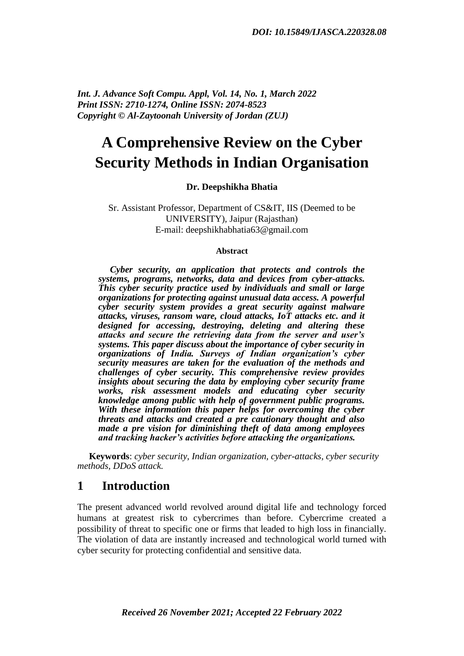*Int. J. Advance Soft Compu. Appl, Vol. 14, No. 1, March 2022 Print ISSN: 2710-1274, Online ISSN: 2074-8523 Copyright © Al-Zaytoonah University of Jordan (ZUJ)*

# **A Comprehensive Review on the Cyber Security Methods in Indian Organisation**

#### **Dr. Deepshikha Bhatia**

Sr. Assistant Professor, Department of CS&IT, IIS (Deemed to be UNIVERSITY), Jaipur (Rajasthan) E-mail: deepshikhabhatia63@gmail.com

#### **Abstract**

 *Cyber security, an application that protects and controls the systems, programs, networks, data and devices from cyber-attacks. This cyber security practice used by individuals and small or large organizations for protecting against unusual data access. A powerful cyber security system provides a great security against malware attacks, viruses, ransom ware, cloud attacks, IoT attacks etc. and it designed for accessing, destroying, deleting and altering these attacks and secure the retrieving data from the server and user's systems. This paper discuss about the importance of cyber security in organizations of India. Surveys of Indian organization's cyber security measures are taken for the evaluation of the methods and challenges of cyber security. This comprehensive review provides insights about securing the data by employing cyber security frame works, risk assessment models and educating cyber security knowledge among public with help of government public programs. With these information this paper helps for overcoming the cyber threats and attacks and created a pre cautionary thought and also made a pre vision for diminishing theft of data among employees and tracking hacker's activities before attacking the organizations.*

 **Keywords**: *cyber security, Indian organization, cyber-attacks, cyber security methods, DDoS attack.*

#### **1 Introduction**

The present advanced world revolved around digital life and technology forced humans at greatest risk to cybercrimes than before. Cybercrime created a possibility of threat to specific one or firms that leaded to high loss in financially. The violation of data are instantly increased and technological world turned with cyber security for protecting confidential and sensitive data.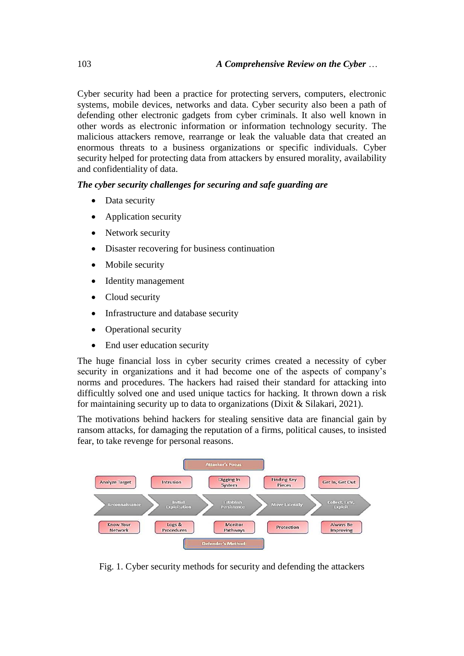Cyber security had been a practice for protecting servers, computers, electronic systems, mobile devices, networks and data. Cyber security also been a path of defending other electronic gadgets from cyber criminals. It also well known in other words as electronic information or information technology security. The malicious attackers remove, rearrange or leak the valuable data that created an enormous threats to a business organizations or specific individuals. Cyber security helped for protecting data from attackers by ensured morality, availability and confidentiality of data.

#### *The cyber security challenges for securing and safe guarding are*

- Data security
- Application security
- Network security
- Disaster recovering for business continuation
- Mobile security
- Identity management
- Cloud security
- Infrastructure and database security
- Operational security
- End user education security

The huge financial loss in cyber security crimes created a necessity of cyber security in organizations and it had become one of the aspects of company's norms and procedures. The hackers had raised their standard for attacking into difficultly solved one and used unique tactics for hacking. It thrown down a risk for maintaining security up to data to organizations [\(Dixit & Silakari, 2021\)](#page-19-0).

The motivations behind hackers for stealing sensitive data are financial gain by ransom attacks, for damaging the reputation of a firms, political causes, to insisted fear, to take revenge for personal reasons.



Fig. 1. Cyber security methods for security and defending the attackers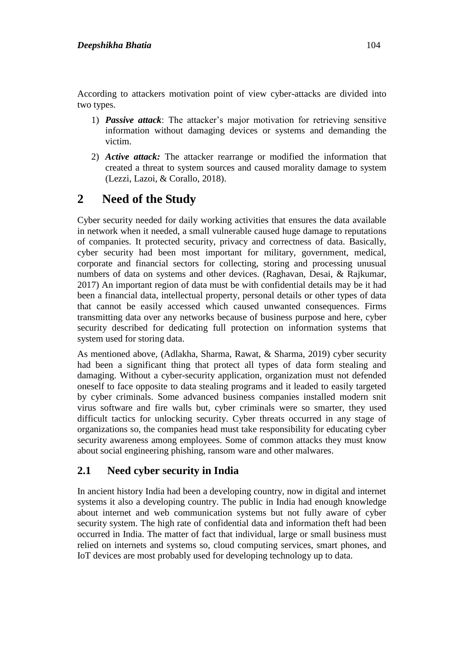According to attackers motivation point of view cyber-attacks are divided into two types.

- 1) *Passive attack*: The attacker's major motivation for retrieving sensitive information without damaging devices or systems and demanding the victim.
- 2) *Active attack:* The attacker rearrange or modified the information that created a threat to system sources and caused morality damage to system [\(Lezzi, Lazoi, & Corallo, 2018\)](#page-20-0).

## **2 Need of the Study**

Cyber security needed for daily working activities that ensures the data available in network when it needed, a small vulnerable caused huge damage to reputations of companies. It protected security, privacy and correctness of data. Basically, cyber security had been most important for military, government, medical, corporate and financial sectors for collecting, storing and processing unusual numbers of data on systems and other devices. [\(Raghavan, Desai, & Rajkumar,](#page-21-0)  [2017\)](#page-21-0) An important region of data must be with confidential details may be it had been a financial data, intellectual property, personal details or other types of data that cannot be easily accessed which caused unwanted consequences. Firms transmitting data over any networks because of business purpose and here, cyber security described for dedicating full protection on information systems that system used for storing data.

As mentioned above, [\(Adlakha, Sharma, Rawat, & Sharma, 2019\)](#page-18-0) cyber security had been a significant thing that protect all types of data form stealing and damaging. Without a cyber-security application, organization must not defended oneself to face opposite to data stealing programs and it leaded to easily targeted by cyber criminals. Some advanced business companies installed modern snit virus software and fire walls but, cyber criminals were so smarter, they used difficult tactics for unlocking security. Cyber threats occurred in any stage of organizations so, the companies head must take responsibility for educating cyber security awareness among employees. Some of common attacks they must know about social engineering phishing, ransom ware and other malwares.

### **2.1 Need cyber security in India**

In ancient history India had been a developing country, now in digital and internet systems it also a developing country. The public in India had enough knowledge about internet and web communication systems but not fully aware of cyber security system. The high rate of confidential data and information theft had been occurred in India. The matter of fact that individual, large or small business must relied on internets and systems so, cloud computing services, smart phones, and IoT devices are most probably used for developing technology up to data.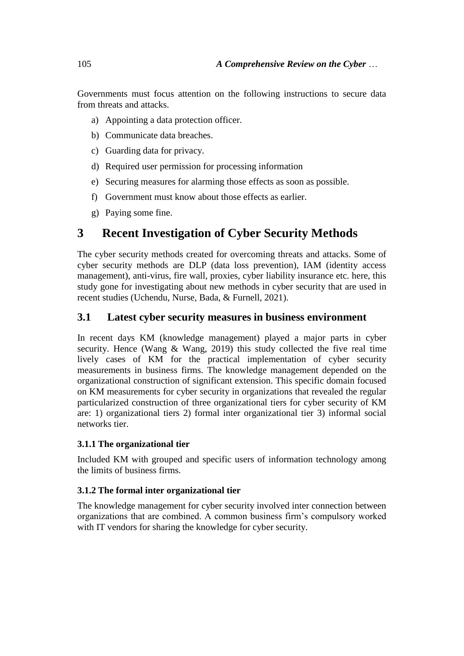Governments must focus attention on the following instructions to secure data from threats and attacks.

- a) Appointing a data protection officer.
- b) Communicate data breaches.
- c) Guarding data for privacy.
- d) Required user permission for processing information
- e) Securing measures for alarming those effects as soon as possible.
- f) Government must know about those effects as earlier.
- g) Paying some fine.

## **3 Recent Investigation of Cyber Security Methods**

The cyber security methods created for overcoming threats and attacks. Some of cyber security methods are DLP (data loss prevention), IAM (identity access management), anti-virus, fire wall, proxies, cyber liability insurance etc. here, this study gone for investigating about new methods in cyber security that are used in recent studies [\(Uchendu, Nurse, Bada, & Furnell, 2021\)](#page-22-0).

#### **3.1 Latest cyber security measures in business environment**

In recent days KM (knowledge management) played a major parts in cyber security. Hence [\(Wang & Wang, 2019\)](#page-22-1) this study collected the five real time lively cases of KM for the practical implementation of cyber security measurements in business firms. The knowledge management depended on the organizational construction of significant extension. This specific domain focused on KM measurements for cyber security in organizations that revealed the regular particularized construction of three organizational tiers for cyber security of KM are: 1) organizational tiers 2) formal inter organizational tier 3) informal social networks tier.

#### **3.1.1 The organizational tier**

Included KM with grouped and specific users of information technology among the limits of business firms.

#### **3.1.2 The formal inter organizational tier**

The knowledge management for cyber security involved inter connection between organizations that are combined. A common business firm's compulsory worked with IT vendors for sharing the knowledge for cyber security.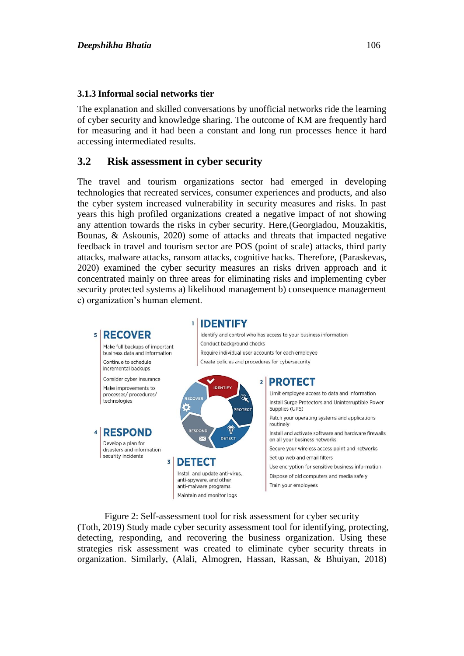#### **3.1.3 Informal social networks tier**

The explanation and skilled conversations by unofficial networks ride the learning of cyber security and knowledge sharing. The outcome of KM are frequently hard for measuring and it had been a constant and long run processes hence it hard accessing intermediated results.

#### **3.2 Risk assessment in cyber security**

The travel and tourism organizations sector had emerged in developing technologies that recreated services, consumer experiences and products, and also the cyber system increased vulnerability in security measures and risks. In past years this high profiled organizations created a negative impact of not showing any attention towards the risks in cyber security. Here,[\(Georgiadou, Mouzakitis,](#page-19-1)  [Bounas, & Askounis, 2020\)](#page-19-1) some of attacks and threats that impacted negative feedback in travel and tourism sector are POS (point of scale) attacks, third party attacks, malware attacks, ransom attacks, cognitive hacks. Therefore, [\(Paraskevas,](#page-21-1)  [2020\)](#page-21-1) examined the cyber security measures an risks driven approach and it concentrated mainly on three areas for eliminating risks and implementing cyber security protected systems a) likelihood management b) consequence management c) organization's human element.



Figure 2: Self-assessment tool for risk assessment for cyber security [\(Toth, 2019\)](#page-21-2) Study made cyber security assessment tool for identifying, protecting, detecting, responding, and recovering the business organization. Using these strategies risk assessment was created to eliminate cyber security threats in organization. Similarly, [\(Alali, Almogren, Hassan, Rassan, & Bhuiyan, 2018\)](#page-18-1)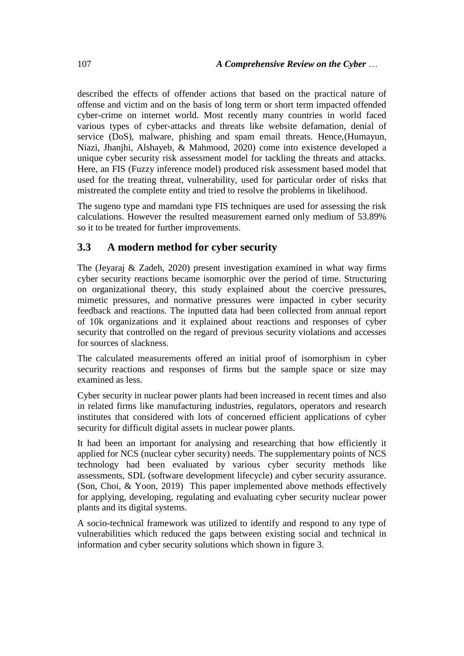described the effects of offender actions that based on the practical nature of offense and victim and on the basis of long term or short term impacted offended cyber-crime on internet world. Most recently many countries in world faced various types of cyber-attacks and threats like website defamation, denial of service (DoS), malware, phishing and spam email threats. Hence,[\(Humayun,](#page-20-1)  [Niazi, Jhanjhi, Alshayeb, & Mahmood, 2020\)](#page-20-1) come into existence developed a unique cyber security risk assessment model for tackling the threats and attacks. Here, an FIS (Fuzzy inference model) produced risk assessment based model that used for the treating threat, vulnerability, used for particular order of risks that mistreated the complete entity and tried to resolve the problems in likelihood.

The sugeno type and mamdani type FIS techniques are used for assessing the risk calculations. However the resulted measurement earned only medium of 53.89% so it to be treated for further improvements.

#### **3.3 A modern method for cyber security**

The [\(Jeyaraj & Zadeh, 2020\)](#page-20-2) present investigation examined in what way firms cyber security reactions became isomorphic over the period of time. Structuring on organizational theory, this study explained about the coercive pressures, mimetic pressures, and normative pressures were impacted in cyber security feedback and reactions. The inputted data had been collected from annual report of 10k organizations and it explained about reactions and responses of cyber security that controlled on the regard of previous security violations and accesses for sources of slackness.

The calculated measurements offered an initial proof of isomorphism in cyber security reactions and responses of firms but the sample space or size may examined as less.

Cyber security in nuclear power plants had been increased in recent times and also in related firms like manufacturing industries, regulators, operators and research institutes that considered with lots of concerned efficient applications of cyber security for difficult digital assets in nuclear power plants.

It had been an important for analysing and researching that how efficiently it applied for NCS (nuclear cyber security) needs. The supplementary points of NCS technology had been evaluated by various cyber security methods like assessments, SDL (software development lifecycle) and cyber security assurance. [\(Son, Choi, & Yoon, 2019\)](#page-21-3) This paper implemented above methods effectively for applying, developing, regulating and evaluating cyber security nuclear power plants and its digital systems.

A socio-technical framework was utilized to identify and respond to any type of vulnerabilities which reduced the gaps between existing social and technical in information and cyber security solutions which shown in figure 3.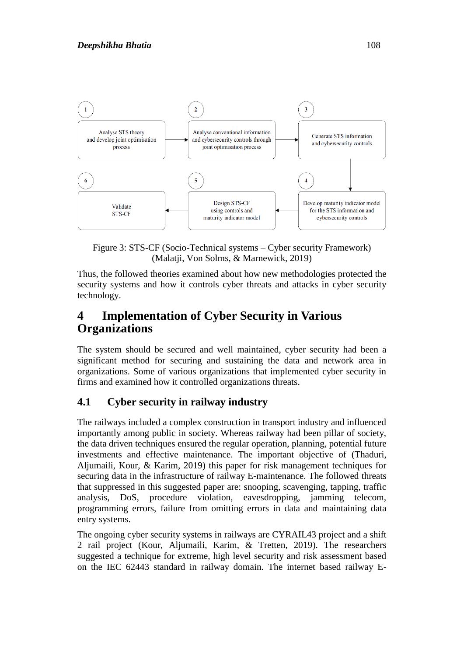

Figure 3: STS-CF (Socio-Technical systems – Cyber security Framework) [\(Malatji, Von Solms, & Marnewick, 2019\)](#page-20-3)

Thus, the followed theories examined about how new methodologies protected the security systems and how it controls cyber threats and attacks in cyber security technology.

## **4 Implementation of Cyber Security in Various Organizations**

The system should be secured and well maintained, cyber security had been a significant method for securing and sustaining the data and network area in organizations. Some of various organizations that implemented cyber security in firms and examined how it controlled organizations threats.

### **4.1 Cyber security in railway industry**

The railways included a complex construction in transport industry and influenced importantly among public in society. Whereas railway had been pillar of society, the data driven techniques ensured the regular operation, planning, potential future investments and effective maintenance. The important objective of [\(Thaduri,](#page-21-4)  [Aljumaili, Kour, & Karim, 2019\)](#page-21-4) this paper for risk management techniques for securing data in the infrastructure of railway E-maintenance. The followed threats that suppressed in this suggested paper are: snooping, scavenging, tapping, traffic analysis, DoS, procedure violation, eavesdropping, jamming telecom, programming errors, failure from omitting errors in data and maintaining data entry systems.

The ongoing cyber security systems in railways are CYRAIL43 project and a shift 2 rail project [\(Kour, Aljumaili, Karim, & Tretten, 2019\)](#page-20-4). The researchers suggested a technique for extreme, high level security and risk assessment based on the IEC 62443 standard in railway domain. The internet based railway E-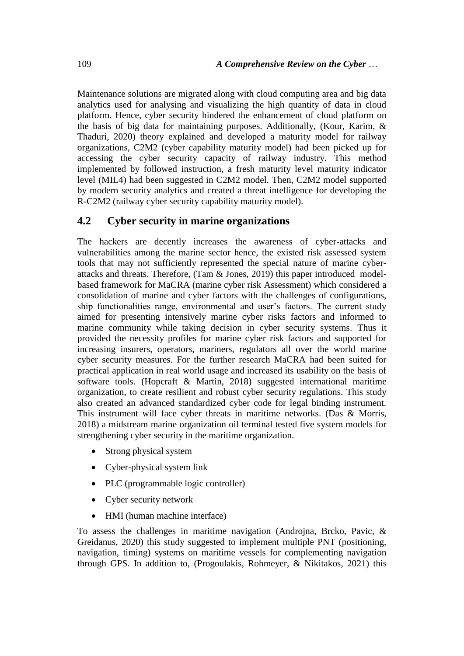Maintenance solutions are migrated along with cloud computing area and big data analytics used for analysing and visualizing the high quantity of data in cloud platform. Hence, cyber security hindered the enhancement of cloud platform on the basis of big data for maintaining purposes. Additionally, [\(Kour, Karim, &](#page-20-5)  [Thaduri, 2020\)](#page-20-5) theory explained and developed a maturity model for railway organizations, C2M2 (cyber capability maturity model) had been picked up for accessing the cyber security capacity of railway industry. This method implemented by followed instruction, a fresh maturity level maturity indicator level (MIL4) had been suggested in C2M2 model. Then, C2M2 model supported by modern security analytics and created a threat intelligence for developing the R-C2M2 (railway cyber security capability maturity model).

#### **4.2 Cyber security in marine organizations**

The hackers are decently increases the awareness of cyber-attacks and vulnerabilities among the marine sector hence, the existed risk assessed system tools that may not sufficiently represented the special nature of marine cyberattacks and threats. Therefore, [\(Tam & Jones, 2019\)](#page-21-5) this paper introduced modelbased framework for MaCRA (marine cyber risk Assessment) which considered a consolidation of marine and cyber factors with the challenges of configurations, ship functionalities range, environmental and user's factors. The current study aimed for presenting intensively marine cyber risks factors and informed to marine community while taking decision in cyber security systems. Thus it provided the necessity profiles for marine cyber risk factors and supported for increasing insurers, operators, mariners, regulators all over the world marine cyber security measures. For the further research MaCRA had been suited for practical application in real world usage and increased its usability on the basis of software tools. [\(Hopcraft & Martin, 2018\)](#page-20-6) suggested international maritime organization, to create resilient and robust cyber security regulations. This study also created an advanced standardized cyber code for legal binding instrument. This instrument will face cyber threats in maritime networks. [\(Das & Morris,](#page-19-2)  [2018\)](#page-19-2) a midstream marine organization oil terminal tested five system models for strengthening cyber security in the maritime organization.

- Strong physical system
- Cyber-physical system link
- PLC (programmable logic controller)
- Cyber security network
- HMI (human machine interface)

To assess the challenges in maritime navigation [\(Androjna, Brcko, Pavic, &](#page-19-3)  [Greidanus, 2020\)](#page-19-3) this study suggested to implement multiple PNT (positioning, navigation, timing) systems on maritime vessels for complementing navigation through GPS. In addition to, [\(Progoulakis, Rohmeyer, & Nikitakos, 2021\)](#page-21-6) this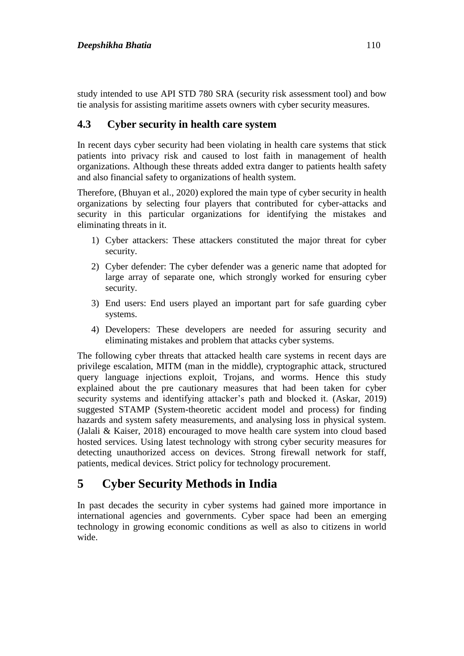study intended to use API STD 780 SRA (security risk assessment tool) and bow tie analysis for assisting maritime assets owners with cyber security measures.

### **4.3 Cyber security in health care system**

In recent days cyber security had been violating in health care systems that stick patients into privacy risk and caused to lost faith in management of health organizations. Although these threats added extra danger to patients health safety and also financial safety to organizations of health system.

Therefore, [\(Bhuyan et al., 2020\)](#page-19-4) explored the main type of cyber security in health organizations by selecting four players that contributed for cyber-attacks and security in this particular organizations for identifying the mistakes and eliminating threats in it.

- 1) Cyber attackers: These attackers constituted the major threat for cyber security.
- 2) Cyber defender: The cyber defender was a generic name that adopted for large array of separate one, which strongly worked for ensuring cyber security.
- 3) End users: End users played an important part for safe guarding cyber systems.
- 4) Developers: These developers are needed for assuring security and eliminating mistakes and problem that attacks cyber systems.

The following cyber threats that attacked health care systems in recent days are privilege escalation, MITM (man in the middle), cryptographic attack, structured query language injections exploit, Trojans, and worms. Hence this study explained about the pre cautionary measures that had been taken for cyber security systems and identifying attacker's path and blocked it. [\(Askar, 2019\)](#page-19-5) suggested STAMP (System-theoretic accident model and process) for finding hazards and system safety measurements, and analysing loss in physical system. [\(Jalali & Kaiser, 2018\)](#page-20-7) encouraged to move health care system into cloud based hosted services. Using latest technology with strong cyber security measures for detecting unauthorized access on devices. Strong firewall network for staff, patients, medical devices. Strict policy for technology procurement.

## **5 Cyber Security Methods in India**

In past decades the security in cyber systems had gained more importance in international agencies and governments. Cyber space had been an emerging technology in growing economic conditions as well as also to citizens in world wide.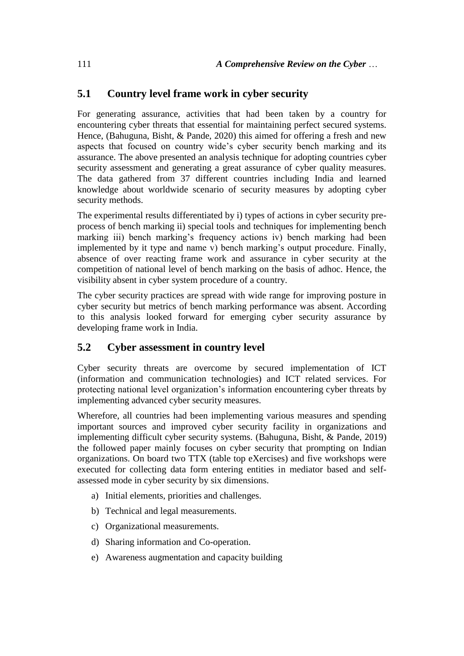### **5.1 Country level frame work in cyber security**

For generating assurance, activities that had been taken by a country for encountering cyber threats that essential for maintaining perfect secured systems. Hence, [\(Bahuguna, Bisht, & Pande, 2020\)](#page-19-6) this aimed for offering a fresh and new aspects that focused on country wide's cyber security bench marking and its assurance. The above presented an analysis technique for adopting countries cyber security assessment and generating a great assurance of cyber quality measures. The data gathered from 37 different countries including India and learned knowledge about worldwide scenario of security measures by adopting cyber security methods.

The experimental results differentiated by i) types of actions in cyber security preprocess of bench marking ii) special tools and techniques for implementing bench marking iii) bench marking's frequency actions iv) bench marking had been implemented by it type and name v) bench marking's output procedure. Finally, absence of over reacting frame work and assurance in cyber security at the competition of national level of bench marking on the basis of adhoc. Hence, the visibility absent in cyber system procedure of a country.

The cyber security practices are spread with wide range for improving posture in cyber security but metrics of bench marking performance was absent. According to this analysis looked forward for emerging cyber security assurance by developing frame work in India.

#### **5.2 Cyber assessment in country level**

Cyber security threats are overcome by secured implementation of ICT (information and communication technologies) and ICT related services. For protecting national level organization's information encountering cyber threats by implementing advanced cyber security measures.

Wherefore, all countries had been implementing various measures and spending important sources and improved cyber security facility in organizations and implementing difficult cyber security systems. [\(Bahuguna, Bisht, & Pande, 2019\)](#page-19-7) the followed paper mainly focuses on cyber security that prompting on Indian organizations. On board two TTX (table top eXercises) and five workshops were executed for collecting data form entering entities in mediator based and selfassessed mode in cyber security by six dimensions.

- a) Initial elements, priorities and challenges.
- b) Technical and legal measurements.
- c) Organizational measurements.
- d) Sharing information and Co-operation.
- e) Awareness augmentation and capacity building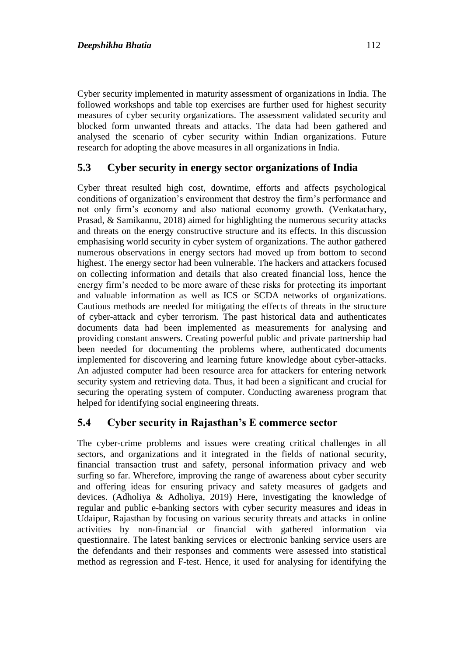Cyber security implemented in maturity assessment of organizations in India. The followed workshops and table top exercises are further used for highest security measures of cyber security organizations. The assessment validated security and blocked form unwanted threats and attacks. The data had been gathered and analysed the scenario of cyber security within Indian organizations. Future research for adopting the above measures in all organizations in India.

### **5.3 Cyber security in energy sector organizations of India**

Cyber threat resulted high cost, downtime, efforts and affects psychological conditions of organization's environment that destroy the firm's performance and not only firm's economy and also national economy growth. [\(Venkatachary,](#page-22-2)  [Prasad, & Samikannu, 2018\)](#page-22-2) aimed for highlighting the numerous security attacks and threats on the energy constructive structure and its effects. In this discussion emphasising world security in cyber system of organizations. The author gathered numerous observations in energy sectors had moved up from bottom to second highest. The energy sector had been vulnerable. The hackers and attackers focused on collecting information and details that also created financial loss, hence the energy firm's needed to be more aware of these risks for protecting its important and valuable information as well as ICS or SCDA networks of organizations. Cautious methods are needed for mitigating the effects of threats in the structure of cyber-attack and cyber terrorism. The past historical data and authenticates documents data had been implemented as measurements for analysing and providing constant answers. Creating powerful public and private partnership had been needed for documenting the problems where, authenticated documents implemented for discovering and learning future knowledge about cyber-attacks. An adjusted computer had been resource area for attackers for entering network security system and retrieving data. Thus, it had been a significant and crucial for securing the operating system of computer. Conducting awareness program that helped for identifying social engineering threats.

#### **5.4 Cyber security in Rajasthan's E commerce sector**

The cyber-crime problems and issues were creating critical challenges in all sectors, and organizations and it integrated in the fields of national security, financial transaction trust and safety, personal information privacy and web surfing so far. Wherefore, improving the range of awareness about cyber security and offering ideas for ensuring privacy and safety measures of gadgets and devices. [\(Adholiya & Adholiya, 2019\)](#page-18-2) Here, investigating the knowledge of regular and public e-banking sectors with cyber security measures and ideas in Udaipur, Rajasthan by focusing on various security threats and attacks in online activities by non-financial or financial with gathered information via questionnaire. The latest banking services or electronic banking service users are the defendants and their responses and comments were assessed into statistical method as regression and F-test. Hence, it used for analysing for identifying the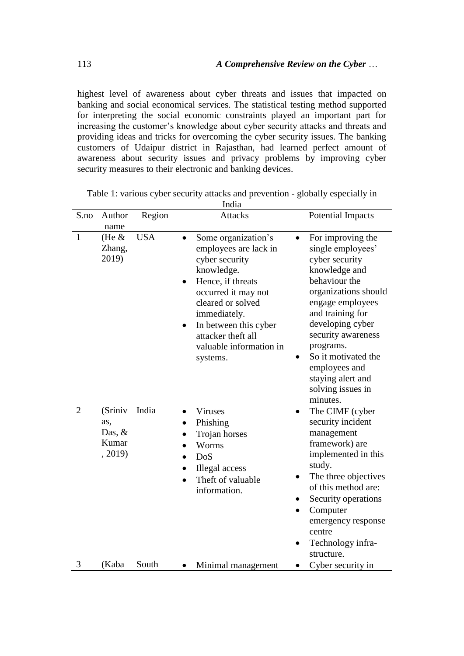highest level of awareness about cyber threats and issues that impacted on banking and social economical services. The statistical testing method supported for interpreting the social economic constraints played an important part for increasing the customer's knowledge about cyber security attacks and threats and providing ideas and tricks for overcoming the cyber security issues. The banking customers of Udaipur district in Rajasthan, had learned perfect amount of awareness about security issues and privacy problems by improving cyber security measures to their electronic and banking devices.

| S.no           | Author<br>name                                 | Region     | <b>Attacks</b>                                                                                                                                                                                                                                                                             | <b>Potential Impacts</b>                                                                                                                                                                                                                                                                                         |
|----------------|------------------------------------------------|------------|--------------------------------------------------------------------------------------------------------------------------------------------------------------------------------------------------------------------------------------------------------------------------------------------|------------------------------------------------------------------------------------------------------------------------------------------------------------------------------------------------------------------------------------------------------------------------------------------------------------------|
| $\mathbf{1}$   | (He $\&$<br>Zhang,<br>2019)                    | <b>USA</b> | Some organization's<br>$\bullet$<br>employees are lack in<br>cyber security<br>knowledge.<br>Hence, if threats<br>$\bullet$<br>occurred it may not<br>cleared or solved<br>immediately.<br>In between this cyber<br>$\bullet$<br>attacker theft all<br>valuable information in<br>systems. | For improving the<br>$\bullet$<br>single employees'<br>cyber security<br>knowledge and<br>behaviour the<br>organizations should<br>engage employees<br>and training for<br>developing cyber<br>security awareness<br>programs.<br>So it motivated the<br>employees and<br>staying alert and<br>solving issues in |
| $\overline{2}$ | (Sriniv<br>as,<br>Das, $&$<br>Kumar<br>, 2019) | India      | <b>Viruses</b><br>Phishing<br>Trojan horses<br>Worms<br>DoS<br>Illegal access<br>Theft of valuable<br>information.                                                                                                                                                                         | minutes.<br>The CIMF (cyber<br>security incident<br>management<br>framework) are<br>implemented in this<br>study.<br>The three objectives<br>of this method are:<br>Security operations<br>Computer<br>$\bullet$<br>emergency response<br>centre<br>Technology infra-<br>structure.                              |
| 3              | (Kaba                                          | South      | Minimal management                                                                                                                                                                                                                                                                         | Cyber security in                                                                                                                                                                                                                                                                                                |

Table 1: various cyber security attacks and prevention - globally especially in India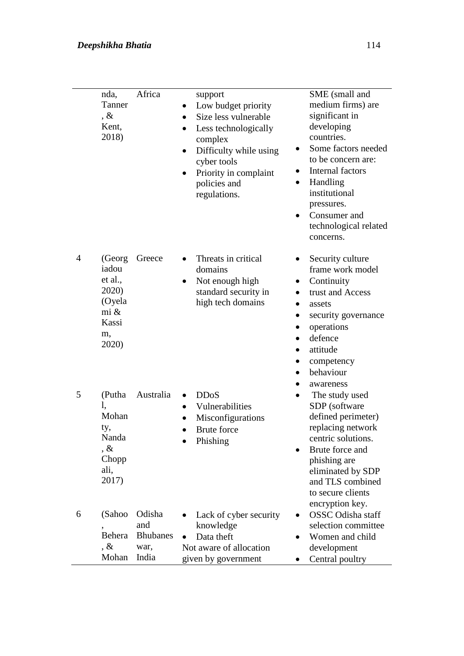|                | nda,<br>Tanner<br>$, \&$<br>Kent,<br>2018)                                    | Africa                                            | support<br>Low budget priority<br>Size less vulnerable<br>Less technologically<br>$\bullet$<br>complex<br>Difficulty while using<br>cyber tools<br>Priority in complaint<br>policies and<br>regulations. | SME (small and<br>medium firms) are<br>significant in<br>developing<br>countries.<br>Some factors needed<br>to be concern are:<br>Internal factors<br>$\bullet$<br>Handling<br>institutional<br>pressures.<br>Consumer and<br>technological related<br>concerns. |
|----------------|-------------------------------------------------------------------------------|---------------------------------------------------|----------------------------------------------------------------------------------------------------------------------------------------------------------------------------------------------------------|------------------------------------------------------------------------------------------------------------------------------------------------------------------------------------------------------------------------------------------------------------------|
| $\overline{4}$ | (Georg<br>iadou<br>et al.,<br>2020)<br>(Oyela<br>mi &<br>Kassi<br>m,<br>2020) | Greece                                            | Threats in critical<br>domains<br>Not enough high<br>standard security in<br>high tech domains                                                                                                           | Security culture<br>frame work model<br>Continuity<br>trust and Access<br>$\bullet$<br>assets<br>security governance<br>$\bullet$<br>operations<br>defence<br>$\bullet$<br>attitude<br>competency<br>behaviour<br>$\bullet$                                      |
| 5              | (Putha<br>1,<br>Mohan<br>ty,<br>Nanda<br>, $\&$<br>Chopp<br>ali,<br>2017)     | Australia                                         | <b>DDoS</b><br>$\bullet$<br>Vulnerabilities<br>Misconfigurations<br><b>Brute</b> force<br>Phishing                                                                                                       | awareness<br>The study used<br>SDP (software<br>defined perimeter)<br>replacing network<br>centric solutions.<br>Brute force and<br>phishing are<br>eliminated by SDP<br>and TLS combined<br>to secure clients                                                   |
| 6              | (Sahoo<br>Behera<br>$, \&$<br>Mohan                                           | Odisha<br>and<br><b>Bhubanes</b><br>war,<br>India | Lack of cyber security<br>knowledge<br>Data theft<br>Not aware of allocation<br>given by government                                                                                                      | encryption key.<br><b>OSSC</b> Odisha staff<br>selection committee<br>Women and child<br>development<br>Central poultry                                                                                                                                          |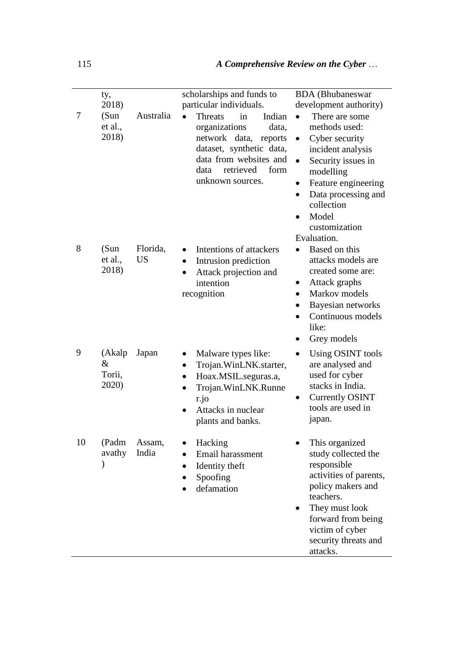| 7  | ty,<br>2018)<br>(Sun)<br>et al.,<br>2018) | Australia             | scholarships and funds to<br>particular individuals.<br><b>Threats</b><br>Indian<br>in<br>organizations<br>data,<br>network data,<br>reports<br>dataset, synthetic data,<br>data from websites and<br>retrieved<br>form<br>data<br>unknown sources. | <b>BDA</b> (Bhubaneswar<br>development authority)<br>There are some<br>methods used:<br>Cyber security<br>$\bullet$<br>incident analysis<br>Security issues in<br>$\bullet$<br>modelling<br>Feature engineering<br>$\bullet$<br>Data processing and<br>$\bullet$      |
|----|-------------------------------------------|-----------------------|-----------------------------------------------------------------------------------------------------------------------------------------------------------------------------------------------------------------------------------------------------|-----------------------------------------------------------------------------------------------------------------------------------------------------------------------------------------------------------------------------------------------------------------------|
| 8  | (Sun)<br>et al.,<br>2018)                 | Florida,<br><b>US</b> | Intentions of attackers<br>Intrusion prediction<br>$\bullet$<br>Attack projection and<br>$\bullet$<br>intention<br>recognition                                                                                                                      | collection<br>Model<br>$\bullet$<br>customization<br>Evaluation.<br>Based on this<br>$\bullet$<br>attacks models are<br>created some are:<br>Attack graphs<br>$\bullet$<br>Markov models<br>$\bullet$<br>Bayesian networks<br>Continuous models<br>$\bullet$<br>like: |
| 9  | (Akalp<br>$\&$<br>Torii,<br>2020)         | Japan                 | Malware types like:<br>$\bullet$<br>Trojan.WinLNK.starter,<br>Hoax.MSIL.seguras.a,<br>Trojan.WinLNK.Runne<br>r.jo<br>Attacks in nuclear<br>$\bullet$<br>plants and banks.                                                                           | Grey models<br>$\bullet$<br><b>Using OSINT tools</b><br>$\bullet$<br>are analysed and<br>used for cyber<br>stacks in India.<br><b>Currently OSINT</b><br>tools are used in<br>japan.                                                                                  |
| 10 | (Padm<br>avathy<br>$\mathcal{E}$          | Assam,<br>India       | Hacking<br>Email harassment<br>Identity theft<br>٠<br>Spoofing<br>defamation                                                                                                                                                                        | This organized<br>study collected the<br>responsible<br>activities of parents,<br>policy makers and<br>teachers.<br>They must look<br>$\bullet$<br>forward from being<br>victim of cyber<br>security threats and<br>attacks.                                          |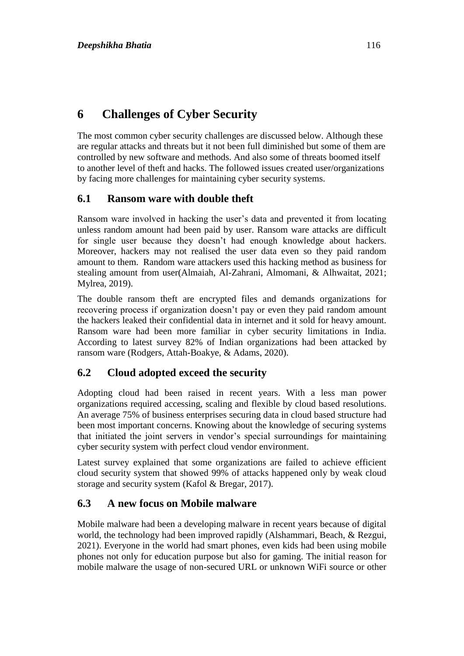## **6 Challenges of Cyber Security**

The most common cyber security challenges are discussed below. Although these are regular attacks and threats but it not been full diminished but some of them are controlled by new software and methods. And also some of threats boomed itself to another level of theft and hacks. The followed issues created user/organizations by facing more challenges for maintaining cyber security systems.

### **6.1 Ransom ware with double theft**

Ransom ware involved in hacking the user's data and prevented it from locating unless random amount had been paid by user. Ransom ware attacks are difficult for single user because they doesn't had enough knowledge about hackers. Moreover, hackers may not realised the user data even so they paid random amount to them. Random ware attackers used this hacking method as business for stealing amount from user[\(Almaiah, Al-Zahrani, Almomani, & Alhwaitat, 2021;](#page-19-9) [Mylrea, 2019\)](#page-20-10).

The double ransom theft are encrypted files and demands organizations for recovering process if organization doesn't pay or even they paid random amount the hackers leaked their confidential data in internet and it sold for heavy amount. Ransom ware had been more familiar in cyber security limitations in India. According to latest survey 82% of Indian organizations had been attacked by ransom ware [\(Rodgers, Attah-Boakye, & Adams, 2020\)](#page-21-12).

### **6.2 Cloud adopted exceed the security**

Adopting cloud had been raised in recent years. With a less man power organizations required accessing, scaling and flexible by cloud based resolutions. An average 75% of business enterprises securing data in cloud based structure had been most important concerns. Knowing about the knowledge of securing systems that initiated the joint servers in vendor's special surroundings for maintaining cyber security system with perfect cloud vendor environment.

Latest survey explained that some organizations are failed to achieve efficient cloud security system that showed 99% of attacks happened only by weak cloud storage and security system [\(Kafol & Bregar, 2017\)](#page-20-11).

### **6.3 A new focus on Mobile malware**

Mobile malware had been a developing malware in recent years because of digital world, the technology had been improved rapidly [\(Alshammari, Beach, & Rezgui,](#page-19-10)  [2021\)](#page-19-10). Everyone in the world had smart phones, even kids had been using mobile phones not only for education purpose but also for gaming. The initial reason for mobile malware the usage of non-secured URL or unknown WiFi source or other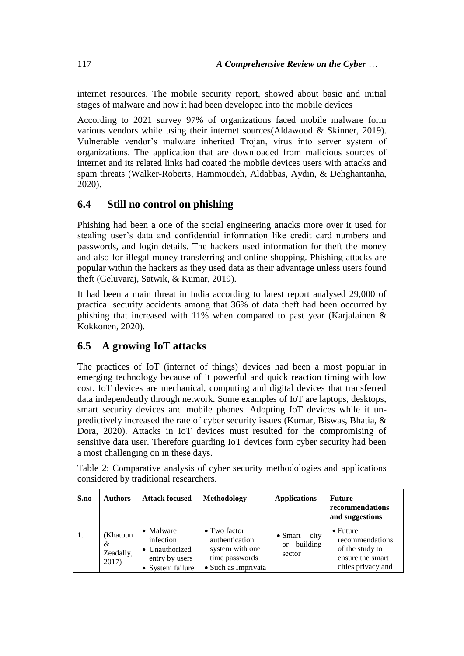internet resources. The mobile security report, showed about basic and initial stages of malware and how it had been developed into the mobile devices

According to 2021 survey 97% of organizations faced mobile malware form various vendors while using their internet sources[\(Aldawood & Skinner, 2019\)](#page-19-11). Vulnerable vendor's malware inherited Trojan, virus into server system of organizations. The application that are downloaded from malicious sources of internet and its related links had coated the mobile devices users with attacks and spam threats [\(Walker-Roberts, Hammoudeh, Aldabbas, Aydin, & Dehghantanha,](#page-22-3)  [2020\)](#page-22-3).

### **6.4 Still no control on phishing**

Phishing had been a one of the social engineering attacks more over it used for stealing user's data and confidential information like credit card numbers and passwords, and login details. The hackers used information for theft the money and also for illegal money transferring and online shopping. Phishing attacks are popular within the hackers as they used data as their advantage unless users found theft [\(Geluvaraj, Satwik, & Kumar, 2019\)](#page-19-12).

It had been a main threat in India according to latest report analysed 29,000 of practical security accidents among that 36% of data theft had been occurred by phishing that increased with 11% when compared to past year [\(Karjalainen &](#page-20-12)  [Kokkonen, 2020\)](#page-20-12).

### **6.5 A growing IoT attacks**

The practices of IoT (internet of things) devices had been a most popular in emerging technology because of it powerful and quick reaction timing with low cost. IoT devices are mechanical, computing and digital devices that transferred data independently through network. Some examples of IoT are laptops, desktops, smart security devices and mobile phones. Adopting IoT devices while it unpredictively increased the rate of cyber security issues [\(Kumar, Biswas, Bhatia, &](#page-20-13)  [Dora, 2020\)](#page-20-13). Attacks in IoT devices must resulted for the compromising of sensitive data user. Therefore guarding IoT devices form cyber security had been a most challenging on in these days.

| S.no | <b>Authors</b>                      | <b>Attack focused</b>                                                          | <b>Methodology</b>                                                                                 | <b>Applications</b>                                            | <b>Future</b><br>recommendations<br>and suggestions                                              |
|------|-------------------------------------|--------------------------------------------------------------------------------|----------------------------------------------------------------------------------------------------|----------------------------------------------------------------|--------------------------------------------------------------------------------------------------|
| 1.   | (Khatoun<br>&<br>Zeadally,<br>2017) | • Malware<br>infection<br>• Unauthorized<br>entry by users<br>• System failure | $\bullet$ Two factor<br>authentication<br>system with one<br>time passwords<br>• Such as Imprivata | city<br>$\bullet$ Smart<br>building<br><sub>or</sub><br>sector | $\bullet$ Future<br>recommendations<br>of the study to<br>ensure the smart<br>cities privacy and |

Table 2: Comparative analysis of cyber security methodologies and applications considered by traditional researchers.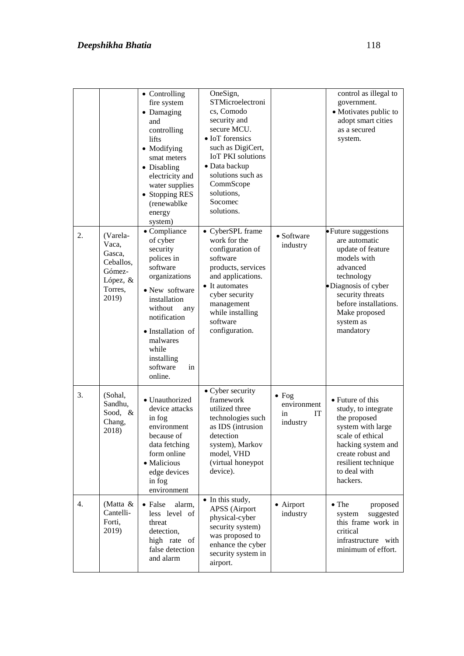|    |                                                                                    | • Controlling<br>fire system<br>• Damaging<br>and<br>controlling<br>lifts<br>• Modifying<br>smat meters<br>• Disabling<br>electricity and<br>water supplies<br>• Stopping RES<br>(renewablke<br>energy<br>system)                                | OneSign,<br>STMicroelectroni<br>cs, Comodo<br>security and<br>secure MCU.<br>• IoT forensics<br>such as DigiCert,<br><b>IoT PKI</b> solutions<br>• Data backup<br>solutions such as<br>CommScope<br>solutions,<br>Socomec<br>solutions. |                                                      | control as illegal to<br>government.<br>• Motivates public to<br>adopt smart cities<br>as a secured<br>system.                                                                                                     |
|----|------------------------------------------------------------------------------------|--------------------------------------------------------------------------------------------------------------------------------------------------------------------------------------------------------------------------------------------------|-----------------------------------------------------------------------------------------------------------------------------------------------------------------------------------------------------------------------------------------|------------------------------------------------------|--------------------------------------------------------------------------------------------------------------------------------------------------------------------------------------------------------------------|
| 2. | (Varela-<br>Vaca,<br>Gasca,<br>Ceballos,<br>Gómez-<br>López, &<br>Torres,<br>2019) | $\bullet$ Compliance<br>of cyber<br>security<br>polices in<br>software<br>organizations<br>• New software<br>installation<br>without<br>any<br>notification<br>· Installation of<br>malwares<br>while<br>installing<br>software<br>in<br>online. | • CyberSPL frame<br>work for the<br>configuration of<br>software<br>products, services<br>and applications.<br>• It automates<br>cyber security<br>management<br>while installing<br>software<br>configuration.                         | • Software<br>industry                               | • Future suggestions<br>are automatic<br>update of feature<br>models with<br>advanced<br>technology<br>·Diagnosis of cyber<br>security threats<br>before installations.<br>Make proposed<br>system as<br>mandatory |
| 3. | (Sohal,<br>Sandhu,<br>Sood, &<br>Chang,<br>2018)                                   | • Unauthorized<br>device attacks<br>in fog<br>environment<br>because of<br>data fetching<br>form online<br>• Malicious<br>edge devices<br>in fog<br>environment                                                                                  | • Cyber security<br>framework<br>utilized three<br>technologies such<br>as IDS (intrusion<br>detection<br>system), Markov<br>model, VHD<br>(virtual honeypot<br>device).                                                                | $\bullet$ Fog<br>environment<br>IT<br>in<br>industry | • Future of this<br>study, to integrate<br>the proposed<br>system with large<br>scale of ethical<br>hacking system and<br>create robust and<br>resilient technique<br>to deal with<br>hackers.                     |
| 4. | (Matta &<br>Cantelli-<br>Forti,<br>2019)                                           | • False<br>alarm,<br>less level of<br>threat<br>detection,<br>high rate of<br>false detection<br>and alarm                                                                                                                                       | • In this study,<br><b>APSS</b> (Airport<br>physical-cyber<br>security system)<br>was proposed to<br>enhance the cyber<br>security system in<br>airport.                                                                                | • Airport<br>industry                                | $\bullet$ The<br>proposed<br>suggested<br>system<br>this frame work in<br>critical<br>infrastructure with<br>minimum of effort.                                                                                    |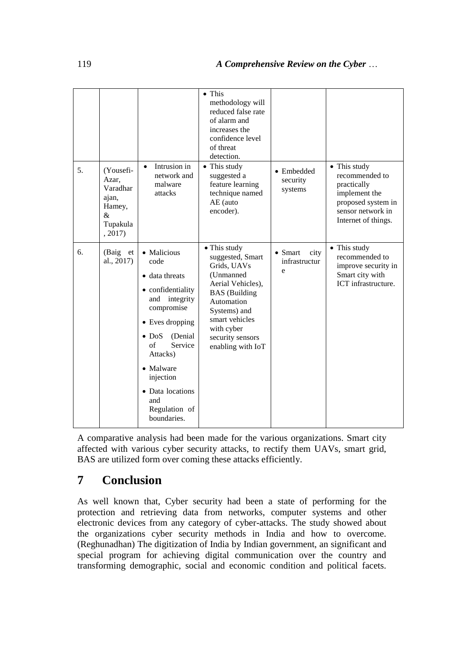| 5. | (Yousefi-<br>Azar,<br>Varadhar<br>ajan,<br>Hamey,<br>&<br>Tupakula | Intrusion in<br>$\bullet$<br>network and<br>malware<br>attacks                                                                                                                                                                                              | $\bullet$ This<br>methodology will<br>reduced false rate<br>of alarm and<br>increases the<br>confidence level<br>of threat<br>detection.<br>• This study<br>suggested a<br>feature learning<br>technique named<br>AE (auto<br>encoder). | • Embedded<br>security<br>systems             | • This study<br>recommended to<br>practically<br>implement the<br>proposed system in<br>sensor network in<br>Internet of things. |
|----|--------------------------------------------------------------------|-------------------------------------------------------------------------------------------------------------------------------------------------------------------------------------------------------------------------------------------------------------|-----------------------------------------------------------------------------------------------------------------------------------------------------------------------------------------------------------------------------------------|-----------------------------------------------|----------------------------------------------------------------------------------------------------------------------------------|
| 6. | , 2017)<br>(Baig<br>et<br>al., 2017)                               | • Malicious<br>code<br>• data threats<br>• confidentiality<br>and integrity<br>compromise<br>• Eves dropping<br>$\bullet$ DoS<br>(Denial)<br>of<br>Service<br>Attacks)<br>• Malware<br>injection<br>• Data locations<br>and<br>Regulation of<br>boundaries. | • This study<br>suggested, Smart<br>Grids, UAVs<br>(Unmanned<br>Aerial Vehicles),<br><b>BAS</b> (Building<br>Automation<br>Systems) and<br>smart vehicles<br>with cyber<br>security sensors<br>enabling with IoT                        | $\bullet$ Smart<br>city<br>infrastructur<br>e | • This study<br>recommended to<br>improve security in<br>Smart city with<br>ICT infrastructure.                                  |

A comparative analysis had been made for the various organizations. Smart city affected with various cyber security attacks, to rectify them UAVs, smart grid, BAS are utilized form over coming these attacks efficiently.

### **7 Conclusion**

As well known that, Cyber security had been a state of performing for the protection and retrieving data from networks, computer systems and other electronic devices from any category of cyber-attacks. The study showed about the organizations cyber security methods in India and how to overcome. [\(Reghunadhan\)](#page-21-14) The digitization of India by Indian government, an significant and special program for achieving digital communication over the country and transforming demographic, social and economic condition and political facets.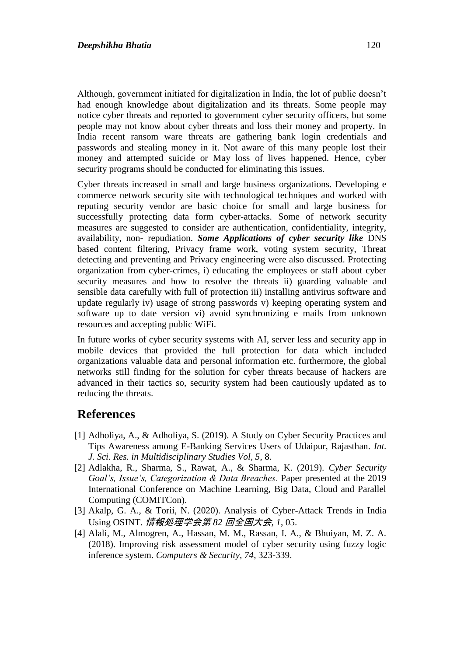Although, government initiated for digitalization in India, the lot of public doesn't had enough knowledge about digitalization and its threats. Some people may notice cyber threats and reported to government cyber security officers, but some people may not know about cyber threats and loss their money and property. In India recent ransom ware threats are gathering bank login credentials and passwords and stealing money in it. Not aware of this many people lost their money and attempted suicide or May loss of lives happened. Hence, cyber security programs should be conducted for eliminating this issues.

Cyber threats increased in small and large business organizations. Developing e commerce network security site with technological techniques and worked with reputing security vendor are basic choice for small and large business for successfully protecting data form cyber-attacks. Some of network security measures are suggested to consider are authentication, confidentiality, integrity, availability, non- repudiation. *Some Applications of cyber security like* DNS based content filtering, Privacy frame work, voting system security, Threat detecting and preventing and Privacy engineering were also discussed. Protecting organization from cyber-crimes, i) educating the employees or staff about cyber security measures and how to resolve the threats ii) guarding valuable and sensible data carefully with full of protection iii) installing antivirus software and update regularly iv) usage of strong passwords v) keeping operating system and software up to date version vi) avoid synchronizing e mails from unknown resources and accepting public WiFi.

In future works of cyber security systems with AI, server less and security app in mobile devices that provided the full protection for data which included organizations valuable data and personal information etc. furthermore, the global networks still finding for the solution for cyber threats because of hackers are advanced in their tactics so, security system had been cautiously updated as to reducing the threats.

## **References**

- <span id="page-18-2"></span>[1] Adholiya, A., & Adholiya, S. (2019). A Study on Cyber Security Practices and Tips Awareness among E-Banking Services Users of Udaipur, Rajasthan. *Int. J. Sci. Res. in Multidisciplinary Studies Vol, 5*, 8.
- <span id="page-18-0"></span>[2] Adlakha, R., Sharma, S., Rawat, A., & Sharma, K. (2019). *Cyber Security Goal's, Issue's, Categorization & Data Breaches.* Paper presented at the 2019 International Conference on Machine Learning, Big Data, Cloud and Parallel Computing (COMITCon).
- <span id="page-18-3"></span>[3] Akalp, G. A., & Torii, N. (2020). Analysis of Cyber-Attack Trends in India Using OSINT. 情報処理学会第 *82* 回全国大会*, 1*, 05.
- <span id="page-18-1"></span>[4] Alali, M., Almogren, A., Hassan, M. M., Rassan, I. A., & Bhuiyan, M. Z. A. (2018). Improving risk assessment model of cyber security using fuzzy logic inference system. *Computers & Security, 74*, 323-339.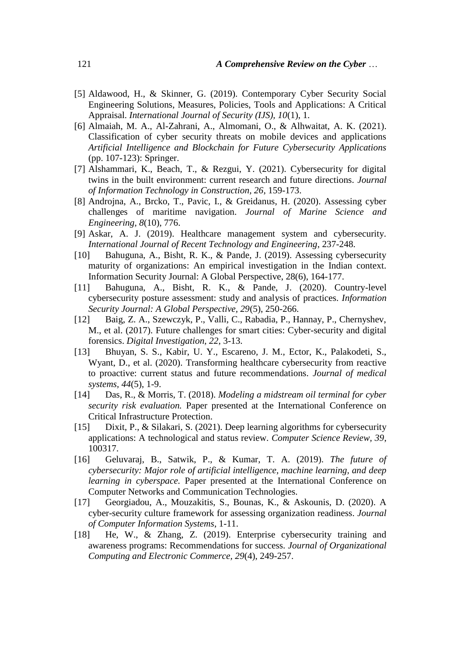- <span id="page-19-11"></span>[5] Aldawood, H., & Skinner, G. (2019). Contemporary Cyber Security Social Engineering Solutions, Measures, Policies, Tools and Applications: A Critical Appraisal. *International Journal of Security (IJS), 10*(1), 1.
- <span id="page-19-9"></span>[6] Almaiah, M. A., Al-Zahrani, A., Almomani, O., & Alhwaitat, A. K. (2021). Classification of cyber security threats on mobile devices and applications *Artificial Intelligence and Blockchain for Future Cybersecurity Applications* (pp. 107-123): Springer.
- <span id="page-19-10"></span>[7] Alshammari, K., Beach, T., & Rezgui, Y. (2021). Cybersecurity for digital twins in the built environment: current research and future directions. *Journal of Information Technology in Construction, 26*, 159-173.
- <span id="page-19-3"></span>[8] Androjna, A., Brcko, T., Pavic, I., & Greidanus, H. (2020). Assessing cyber challenges of maritime navigation. *Journal of Marine Science and Engineering, 8*(10), 776.
- <span id="page-19-5"></span>[9] Askar, A. J. (2019). Healthcare management system and cybersecurity. *International Journal of Recent Technology and Engineering*, 237-248.
- <span id="page-19-7"></span>[10] Bahuguna, A., Bisht, R. K., & Pande, J. (2019). Assessing cybersecurity maturity of organizations: An empirical investigation in the Indian context. Information Security Journal: A Global Perspective, 28(6), 164-177.
- <span id="page-19-6"></span>[11] Bahuguna, A., Bisht, R. K., & Pande, J. (2020). Country-level cybersecurity posture assessment: study and analysis of practices. *Information Security Journal: A Global Perspective, 29*(5), 250-266.
- <span id="page-19-13"></span>[12] Baig, Z. A., Szewczyk, P., Valli, C., Rabadia, P., Hannay, P., Chernyshev, M., et al. (2017). Future challenges for smart cities: Cyber-security and digital forensics. *Digital Investigation, 22*, 3-13.
- <span id="page-19-4"></span>[13] Bhuyan, S. S., Kabir, U. Y., Escareno, J. M., Ector, K., Palakodeti, S., Wyant, D., et al. (2020). Transforming healthcare cybersecurity from reactive to proactive: current status and future recommendations. *Journal of medical systems, 44*(5), 1-9.
- <span id="page-19-2"></span>[14] Das, R., & Morris, T. (2018). *Modeling a midstream oil terminal for cyber security risk evaluation.* Paper presented at the International Conference on Critical Infrastructure Protection.
- <span id="page-19-0"></span>[15] Dixit, P., & Silakari, S. (2021). Deep learning algorithms for cybersecurity applications: A technological and status review. *Computer Science Review, 39*, 100317.
- <span id="page-19-12"></span>[16] Geluvaraj, B., Satwik, P., & Kumar, T. A. (2019). *The future of cybersecurity: Major role of artificial intelligence, machine learning, and deep learning in cyberspace.* Paper presented at the International Conference on Computer Networks and Communication Technologies.
- <span id="page-19-1"></span>[17] Georgiadou, A., Mouzakitis, S., Bounas, K., & Askounis, D. (2020). A cyber-security culture framework for assessing organization readiness. *Journal of Computer Information Systems*, 1-11.
- <span id="page-19-8"></span>[18] He, W., & Zhang, Z. (2019). Enterprise cybersecurity training and awareness programs: Recommendations for success. *Journal of Organizational Computing and Electronic Commerce, 29*(4), 249-257.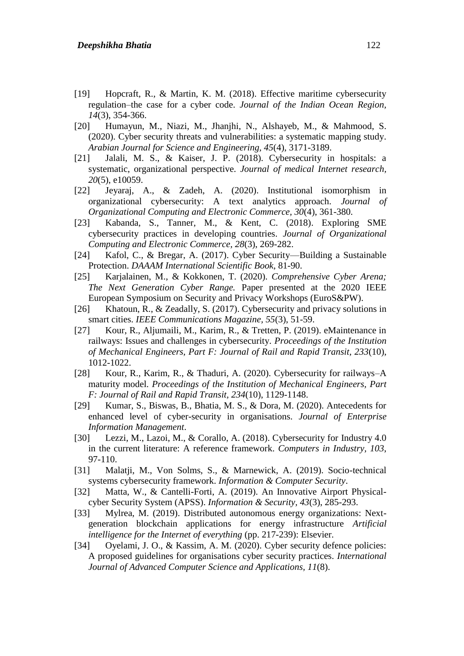- <span id="page-20-6"></span>[19] Hopcraft, R., & Martin, K. M. (2018). Effective maritime cybersecurity regulation–the case for a cyber code. *Journal of the Indian Ocean Region, 14*(3), 354-366.
- <span id="page-20-1"></span>[20] Humayun, M., Niazi, M., Jhanjhi, N., Alshayeb, M., & Mahmood, S. (2020). Cyber security threats and vulnerabilities: a systematic mapping study. *Arabian Journal for Science and Engineering, 45*(4), 3171-3189.
- <span id="page-20-7"></span>[21] Jalali, M. S., & Kaiser, J. P. (2018). Cybersecurity in hospitals: a systematic, organizational perspective. *Journal of medical Internet research, 20*(5), e10059.
- <span id="page-20-2"></span>[22] Jeyaraj, A., & Zadeh, A. (2020). Institutional isomorphism in organizational cybersecurity: A text analytics approach. *Journal of Organizational Computing and Electronic Commerce, 30*(4), 361-380.
- <span id="page-20-8"></span>[23] Kabanda, S., Tanner, M., & Kent, C. (2018). Exploring SME cybersecurity practices in developing countries. *Journal of Organizational Computing and Electronic Commerce, 28*(3), 269-282.
- <span id="page-20-11"></span>[24] Kafol, C., & Bregar, A. (2017). Cyber Security—Building a Sustainable Protection. *DAAAM International Scientific Book*, 81-90.
- <span id="page-20-12"></span>[25] Karjalainen, M., & Kokkonen, T. (2020). *Comprehensive Cyber Arena; The Next Generation Cyber Range.* Paper presented at the 2020 IEEE European Symposium on Security and Privacy Workshops (EuroS&PW).
- <span id="page-20-14"></span>[26] Khatoun, R., & Zeadally, S. (2017). Cybersecurity and privacy solutions in smart cities. *IEEE Communications Magazine, 55*(3), 51-59.
- <span id="page-20-4"></span>[27] Kour, R., Aljumaili, M., Karim, R., & Tretten, P. (2019). eMaintenance in railways: Issues and challenges in cybersecurity. *Proceedings of the Institution of Mechanical Engineers, Part F: Journal of Rail and Rapid Transit, 233*(10), 1012-1022.
- <span id="page-20-5"></span>[28] Kour, R., Karim, R., & Thaduri, A. (2020). Cybersecurity for railways–A maturity model. *Proceedings of the Institution of Mechanical Engineers, Part F: Journal of Rail and Rapid Transit, 234*(10), 1129-1148.
- <span id="page-20-13"></span>[29] Kumar, S., Biswas, B., Bhatia, M. S., & Dora, M. (2020). Antecedents for enhanced level of cyber-security in organisations. *Journal of Enterprise Information Management*.
- <span id="page-20-0"></span>[30] Lezzi, M., Lazoi, M., & Corallo, A. (2018). Cybersecurity for Industry 4.0 in the current literature: A reference framework. *Computers in Industry, 103*, 97-110.
- <span id="page-20-3"></span>[31] Malatji, M., Von Solms, S., & Marnewick, A. (2019). Socio-technical systems cybersecurity framework. *Information & Computer Security*.
- <span id="page-20-15"></span>[32] Matta, W., & Cantelli-Forti, A. (2019). An Innovative Airport Physicalcyber Security System (APSS). *Information & Security, 43*(3), 285-293.
- <span id="page-20-10"></span>[33] Mylrea, M. (2019). Distributed autonomous energy organizations: Nextgeneration blockchain applications for energy infrastructure *Artificial intelligence for the Internet of everything* (pp. 217-239): Elsevier.
- <span id="page-20-9"></span>[34] Oyelami, J. O., & Kassim, A. M. (2020). Cyber security defence policies: A proposed guidelines for organisations cyber security practices. *International Journal of Advanced Computer Science and Applications, 11*(8).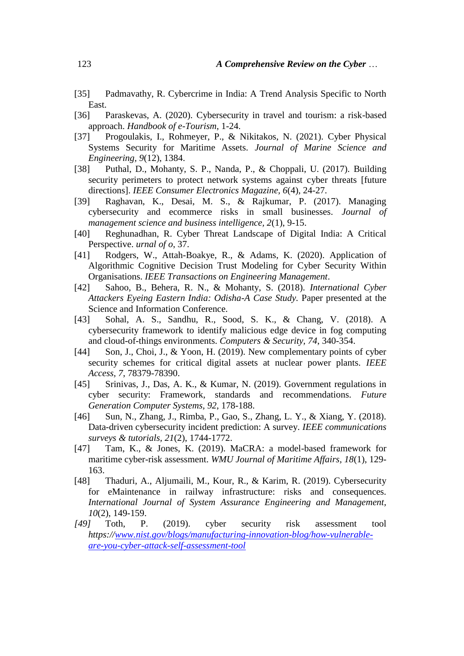- <span id="page-21-11"></span>[35] Padmavathy, R. Cybercrime in India: A Trend Analysis Specific to North East.
- <span id="page-21-1"></span>[36] Paraskevas, A. (2020). Cybersecurity in travel and tourism: a risk-based approach. *Handbook of e-Tourism*, 1-24.
- <span id="page-21-6"></span>[37] Progoulakis, I., Rohmeyer, P., & Nikitakos, N. (2021). Cyber Physical Systems Security for Maritime Assets. *Journal of Marine Science and Engineering, 9*(12), 1384.
- <span id="page-21-8"></span>[38] Puthal, D., Mohanty, S. P., Nanda, P., & Choppali, U. (2017). Building security perimeters to protect network systems against cyber threats [future directions]. *IEEE Consumer Electronics Magazine, 6*(4), 24-27.
- <span id="page-21-0"></span>[39] Raghavan, K., Desai, M. S., & Rajkumar, P. (2017). Managing cybersecurity and ecommerce risks in small businesses. *Journal of management science and business intelligence, 2*(1), 9-15.
- <span id="page-21-14"></span>[40] Reghunadhan, R. Cyber Threat Landscape of Digital India: A Critical Perspective. *urnal of o*, 37.
- <span id="page-21-12"></span>[41] Rodgers, W., Attah-Boakye, R., & Adams, K. (2020). Application of Algorithmic Cognitive Decision Trust Modeling for Cyber Security Within Organisations. *IEEE Transactions on Engineering Management*.
- <span id="page-21-9"></span>[42] Sahoo, B., Behera, R. N., & Mohanty, S. (2018). *International Cyber Attackers Eyeing Eastern India: Odisha-A Case Study.* Paper presented at the Science and Information Conference.
- <span id="page-21-13"></span>[43] Sohal, A. S., Sandhu, R., Sood, S. K., & Chang, V. (2018). A cybersecurity framework to identify malicious edge device in fog computing and cloud-of-things environments. *Computers & Security, 74*, 340-354.
- <span id="page-21-3"></span>[44] Son, J., Choi, J., & Yoon, H. (2019). New complementary points of cyber security schemes for critical digital assets at nuclear power plants. *IEEE Access, 7*, 78379-78390.
- <span id="page-21-7"></span>[45] Srinivas, J., Das, A. K., & Kumar, N. (2019). Government regulations in cyber security: Framework, standards and recommendations. *Future Generation Computer Systems, 92*, 178-188.
- <span id="page-21-10"></span>[46] Sun, N., Zhang, J., Rimba, P., Gao, S., Zhang, L. Y., & Xiang, Y. (2018). Data-driven cybersecurity incident prediction: A survey. *IEEE communications surveys & tutorials, 21*(2), 1744-1772.
- <span id="page-21-5"></span>[47] Tam, K., & Jones, K. (2019). MaCRA: a model-based framework for maritime cyber-risk assessment. *WMU Journal of Maritime Affairs, 18*(1), 129- 163.
- <span id="page-21-4"></span>[48] Thaduri, A., Aljumaili, M., Kour, R., & Karim, R. (2019). Cybersecurity for eMaintenance in railway infrastructure: risks and consequences. *International Journal of System Assurance Engineering and Management, 10*(2), 149-159.
- <span id="page-21-2"></span>*[49]* Toth, P. (2019). cyber security risk assessment tool *https:/[/www.nist.gov/blogs/manufacturing-innovation-blog/how-vulnerable](http://www.nist.gov/blogs/manufacturing-innovation-blog/how-vulnerable-are-you-cyber-attack-self-assessment-tool)[are-you-cyber-attack-self-assessment-tool](http://www.nist.gov/blogs/manufacturing-innovation-blog/how-vulnerable-are-you-cyber-attack-self-assessment-tool)*